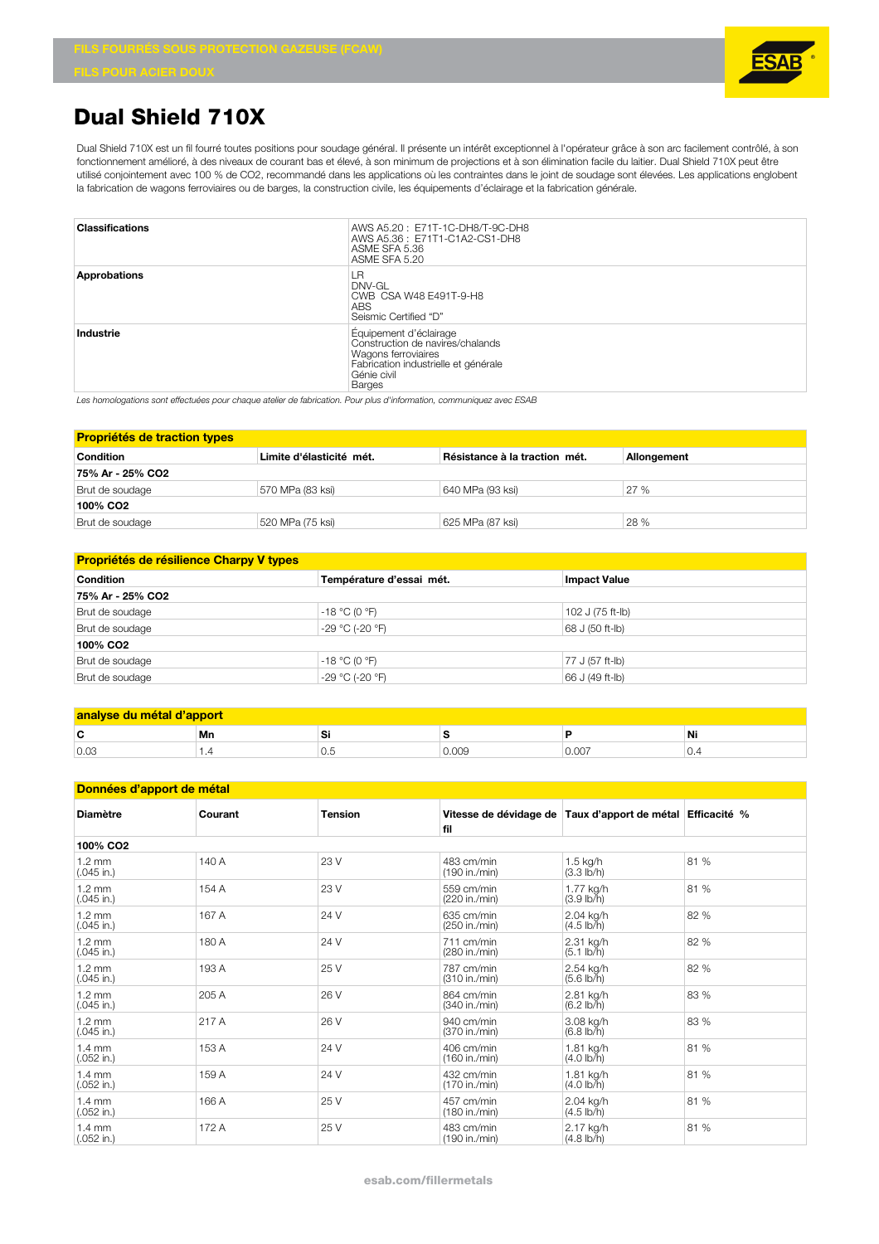## **Dual Shield 710X**

Dual Shield 710X est un fil fourré toutes positions pour soudage général. Il présente un intérêt exceptionnel à l'opérateur grâce à son arc facilement contrôlé, à son fonctionnement amélioré, à des niveaux de courant bas et élevé, à son minimum de projections et à son élimination facile du laitier. Dual Shield 710X peut être utilisé conjointement avec 100 % de CO2, recommandé dans les applications où les contraintes dans le joint de soudage sont élevées. Les applications englobent la fabrication de wagons ferroviaires ou de barges, la construction civile, les équipements d'éclairage et la fabrication générale.

| <b>Classifications</b> | AWS A5.20: E71T-1C-DH8/T-9C-DH8<br>AWS A5.36: E71T1-C1A2-CS1-DH8<br>ASME SFA 5.36<br>ASME SFA 5.20                                                 |
|------------------------|----------------------------------------------------------------------------------------------------------------------------------------------------|
| <b>Approbations</b>    | l R<br>$DNV-GL$<br>CWB CSA W48 E491T-9-H8<br>ABS<br>Seismic Certified "D"                                                                          |
| Industrie              | Equipement d'éclairage<br>Construction de navires/chalands<br>Wagons ferroviaires<br>Fabrication industrielle et générale<br>Génie civil<br>Barges |

*Les homologations sont effectuées pour chaque atelier de fabrication. Pour plus d'information, communiquez avec ESAB*

| <b>Propriétés de traction types</b> |                          |                               |             |  |  |
|-------------------------------------|--------------------------|-------------------------------|-------------|--|--|
| <b>Condition</b>                    | Limite d'élasticité mét. | Résistance à la traction mét. | Allongement |  |  |
| 75% Ar - 25% CO2                    |                          |                               |             |  |  |
| Brut de soudage                     | 570 MPa (83 ksi)         | 640 MPa (93 ksi)              | 27%         |  |  |
| 100% CO <sub>2</sub>                |                          |                               |             |  |  |
| Brut de soudage                     | 520 MPa (75 ksi)         | 625 MPa (87 ksi)              | 28 %        |  |  |

## **Propriétés de résilience Charpy V types**

| <b>Condition</b>     | Température d'essai mét. | <b>Impact Value</b> |  |  |  |
|----------------------|--------------------------|---------------------|--|--|--|
| 75% Ar - 25% CO2     |                          |                     |  |  |  |
| Brut de soudage      | $-18 °C (0 °F)$          | 102 J (75 ft-lb)    |  |  |  |
| Brut de soudage      | -29 °C (-20 °F)          | 68 J (50 ft-lb)     |  |  |  |
| 100% CO <sub>2</sub> |                          |                     |  |  |  |
| Brut de soudage      | $-18 °C (0 °F)$          | 77 J (57 ft-lb)     |  |  |  |
| Brut de soudage      | -29 °C (-20 °F)          | 66 J (49 ft-lb)     |  |  |  |

| analyse du métal d'apport |          |     |       |      |        |
|---------------------------|----------|-----|-------|------|--------|
| Ē                         | Mn       | ີ   |       |      | Ni     |
| 0.03                      | $\cdots$ | v.o | 0.009 | v.vv | $\sim$ |

| Données d'apport de métal        |         |                |                             |                                                            |      |
|----------------------------------|---------|----------------|-----------------------------|------------------------------------------------------------|------|
| <b>Diamètre</b>                  | Courant | <b>Tension</b> | fil                         | Vitesse de dévidage de Taux d'apport de métal Efficacité % |      |
| 100% CO <sub>2</sub>             |         |                |                             |                                                            |      |
| $1.2 \text{ mm}$<br>$(.045$ in.) | 140 A   | 23 V           | 483 cm/min<br>(190 in./min) | $1.5$ kg/h<br>$(3.3 \, lb/h)$                              | 81 % |
| $1.2 \text{ mm}$<br>$(.045$ in.) | 154 A   | 23 V           | 559 cm/min<br>(220 in./min) | 1.77 kg/h<br>$(3.9 \, lb/h)$                               | 81 % |
| $1.2 \text{ mm}$<br>$(.045$ in.) | 167 A   | 24 V           | 635 cm/min<br>(250 in./min) | 2.04 kg/h<br>$(4.5 \, lb/h)$                               | 82 % |
| $1.2 \text{ mm}$<br>$(.045$ in.) | 180 A   | 24 V           | 711 cm/min<br>(280 in./min) | 2.31 kg/h<br>$(5.1 \, \text{lb/h})$                        | 82 % |
| $1.2 \text{ mm}$<br>$(.045$ in.) | 193 A   | 25 V           | 787 cm/min<br>(310 in./min) | 2.54 kg/h<br>$(5.6 \, lb/h)$                               | 82 % |
| $1.2 \text{ mm}$<br>$(.045$ in.) | 205 A   | 26 V           | 864 cm/min<br>(340 in./min) | 2.81 kg/h<br>$(6.2 \text{ lb/h})$                          | 83 % |
| $1.2 \text{ mm}$<br>$(.045$ in.) | 217 A   | 26 V           | 940 cm/min<br>(370 in./min) | 3.08 kg/h<br>$(6.8 \, lb/h)$                               | 83 % |
| $1.4 \text{ mm}$<br>$(.052$ in.) | 153 A   | 24 V           | 406 cm/min<br>(160 in./min) | 1.81 kg/h<br>$(4.0 \, \text{lb/h})$                        | 81 % |
| $1.4 \text{ mm}$<br>$(.052$ in.) | 159 A   | 24 V           | 432 cm/min<br>(170 in./min) | 1.81 kg/h<br>$(4.0 \, \text{lb/h})$                        | 81 % |
| $1.4 \text{ mm}$<br>$(.052$ in.) | 166 A   | 25 V           | 457 cm/min<br>(180 in./min) | 2.04 kg/h<br>$(4.5 \, lb/h)$                               | 81 % |
| $1.4 \text{ mm}$<br>$(.052$ in.) | 172 A   | 25 V           | 483 cm/min<br>(190 in./min) | 2.17 kg/h<br>$(4.8 \, lb/h)$                               | 81 % |